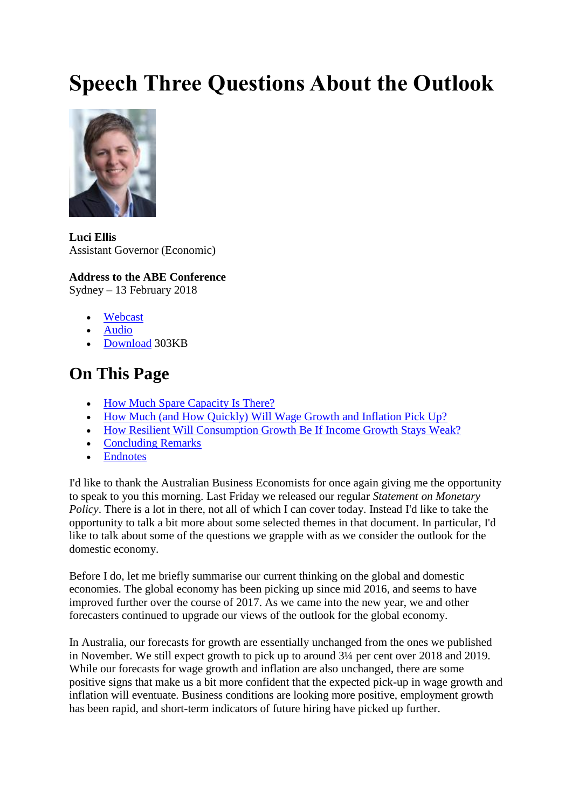# **Speech Three Questions About the Outlook**



**Luci Ellis** Assistant Governor (Economic)

#### **Address to the ABE Conference**

Sydney – 13 February 2018

- [Webcast](http://webcasting.boardroom.media/broadcast/5a82174e9677b06417edf412)
- [Audio](http://brrmedia-assets.s3.amazonaws.com/audio/7efd329d-11c7-4236-957c-137cd4a044e4.mp3)
- [Download](https://www.rba.gov.au/speeches/2018/pdf/sp-ag-2018-02-13.pdf) 303KB

## **On This Page**

- [How Much Spare Capacity Is There?](https://www.rba.gov.au/speeches/2018/sp-ag-2018-02-13.html#how-much-spare-capacity-is-there)
- [How Much \(and How Quickly\) Will Wage Growth and Inflation Pick Up?](https://www.rba.gov.au/speeches/2018/sp-ag-2018-02-13.html#how-much-and-how-quickly-will-wage-growth-and-inflation-pick-up)
- [How Resilient Will Consumption Growth Be If Income Growth Stays Weak?](https://www.rba.gov.au/speeches/2018/sp-ag-2018-02-13.html#how-resilient-will-consumption-growth-be-if-income-growth-stays-weak)
- [Concluding Remarks](https://www.rba.gov.au/speeches/2018/sp-ag-2018-02-13.html#concluding-remarks)
- [Endnotes](https://www.rba.gov.au/speeches/2018/sp-ag-2018-02-13.html#endnotes)

I'd like to thank the Australian Business Economists for once again giving me the opportunity to speak to you this morning. Last Friday we released our regular *Statement on Monetary Policy*. There is a lot in there, not all of which I can cover today. Instead I'd like to take the opportunity to talk a bit more about some selected themes in that document. In particular, I'd like to talk about some of the questions we grapple with as we consider the outlook for the domestic economy.

Before I do, let me briefly summarise our current thinking on the global and domestic economies. The global economy has been picking up since mid 2016, and seems to have improved further over the course of 2017. As we came into the new year, we and other forecasters continued to upgrade our views of the outlook for the global economy.

In Australia, our forecasts for growth are essentially unchanged from the ones we published in November. We still expect growth to pick up to around 3¼ per cent over 2018 and 2019. While our forecasts for wage growth and inflation are also unchanged, there are some positive signs that make us a bit more confident that the expected pick-up in wage growth and inflation will eventuate. Business conditions are looking more positive, employment growth has been rapid, and short-term indicators of future hiring have picked up further.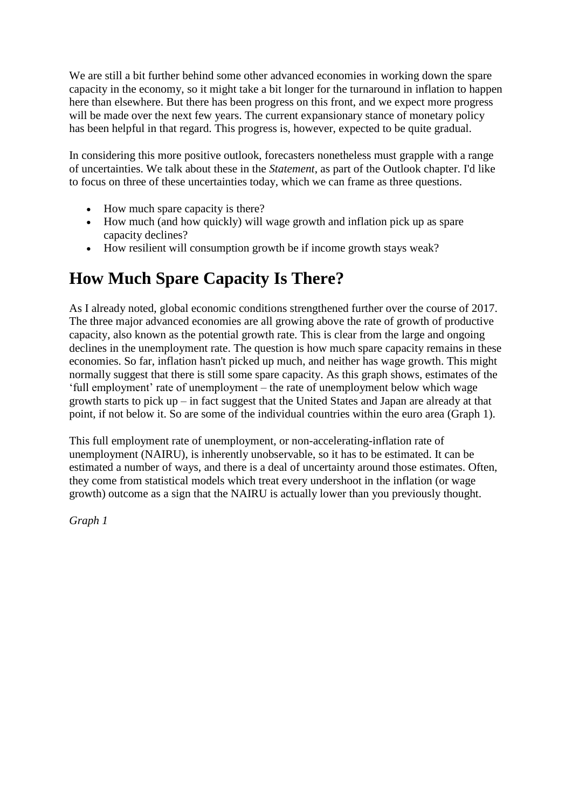We are still a bit further behind some other advanced economies in working down the spare capacity in the economy, so it might take a bit longer for the turnaround in inflation to happen here than elsewhere. But there has been progress on this front, and we expect more progress will be made over the next few years. The current expansionary stance of monetary policy has been helpful in that regard. This progress is, however, expected to be quite gradual.

In considering this more positive outlook, forecasters nonetheless must grapple with a range of uncertainties. We talk about these in the *Statement*, as part of the Outlook chapter. I'd like to focus on three of these uncertainties today, which we can frame as three questions.

- How much spare capacity is there?
- How much (and how quickly) will wage growth and inflation pick up as spare capacity declines?
- How resilient will consumption growth be if income growth stays weak?

## **How Much Spare Capacity Is There?**

As I already noted, global economic conditions strengthened further over the course of 2017. The three major advanced economies are all growing above the rate of growth of productive capacity, also known as the potential growth rate. This is clear from the large and ongoing declines in the unemployment rate. The question is how much spare capacity remains in these economies. So far, inflation hasn't picked up much, and neither has wage growth. This might normally suggest that there is still some spare capacity. As this graph shows, estimates of the 'full employment' rate of unemployment – the rate of unemployment below which wage growth starts to pick up – in fact suggest that the United States and Japan are already at that point, if not below it. So are some of the individual countries within the euro area (Graph 1).

This full employment rate of unemployment, or non-accelerating-inflation rate of unemployment (NAIRU), is inherently unobservable, so it has to be estimated. It can be estimated a number of ways, and there is a deal of uncertainty around those estimates. Often, they come from statistical models which treat every undershoot in the inflation (or wage growth) outcome as a sign that the NAIRU is actually lower than you previously thought.

*Graph 1*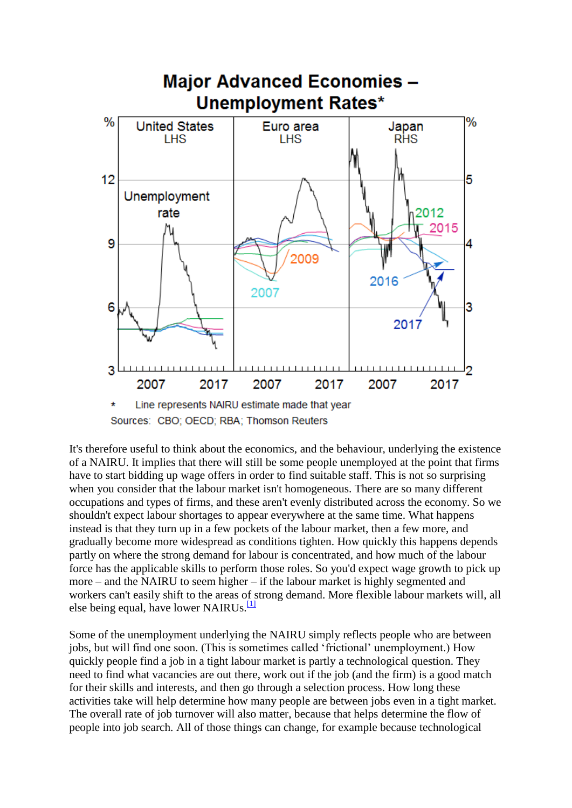

Sources: CBO; OECD; RBA; Thomson Reuters

It's therefore useful to think about the economics, and the behaviour, underlying the existence of a NAIRU. It implies that there will still be some people unemployed at the point that firms have to start bidding up wage offers in order to find suitable staff. This is not so surprising when you consider that the labour market isn't homogeneous. There are so many different occupations and types of firms, and these aren't evenly distributed across the economy. So we shouldn't expect labour shortages to appear everywhere at the same time. What happens instead is that they turn up in a few pockets of the labour market, then a few more, and gradually become more widespread as conditions tighten. How quickly this happens depends partly on where the strong demand for labour is concentrated, and how much of the labour force has the applicable skills to perform those roles. So you'd expect wage growth to pick up more – and the NAIRU to seem higher – if the labour market is highly segmented and workers can't easily shift to the areas of strong demand. More flexible labour markets will, all else being equal, have lower NAIRUs. $\frac{11}{11}$ 

Some of the unemployment underlying the NAIRU simply reflects people who are between jobs, but will find one soon. (This is sometimes called 'frictional' unemployment.) How quickly people find a job in a tight labour market is partly a technological question. They need to find what vacancies are out there, work out if the job (and the firm) is a good match for their skills and interests, and then go through a selection process. How long these activities take will help determine how many people are between jobs even in a tight market. The overall rate of job turnover will also matter, because that helps determine the flow of people into job search. All of those things can change, for example because technological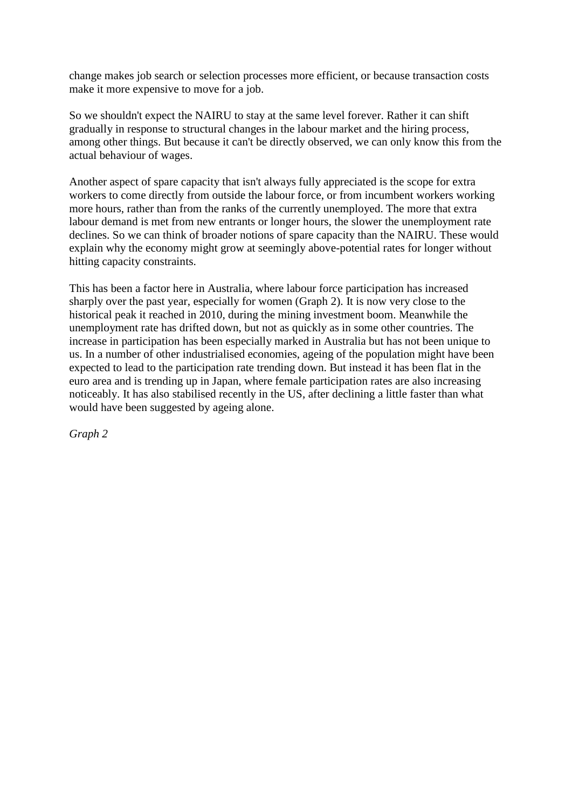change makes job search or selection processes more efficient, or because transaction costs make it more expensive to move for a job.

So we shouldn't expect the NAIRU to stay at the same level forever. Rather it can shift gradually in response to structural changes in the labour market and the hiring process, among other things. But because it can't be directly observed, we can only know this from the actual behaviour of wages.

Another aspect of spare capacity that isn't always fully appreciated is the scope for extra workers to come directly from outside the labour force, or from incumbent workers working more hours, rather than from the ranks of the currently unemployed. The more that extra labour demand is met from new entrants or longer hours, the slower the unemployment rate declines. So we can think of broader notions of spare capacity than the NAIRU. These would explain why the economy might grow at seemingly above-potential rates for longer without hitting capacity constraints.

This has been a factor here in Australia, where labour force participation has increased sharply over the past year, especially for women (Graph 2). It is now very close to the historical peak it reached in 2010, during the mining investment boom. Meanwhile the unemployment rate has drifted down, but not as quickly as in some other countries. The increase in participation has been especially marked in Australia but has not been unique to us. In a number of other industrialised economies, ageing of the population might have been expected to lead to the participation rate trending down. But instead it has been flat in the euro area and is trending up in Japan, where female participation rates are also increasing noticeably. It has also stabilised recently in the US, after declining a little faster than what would have been suggested by ageing alone.

*Graph 2*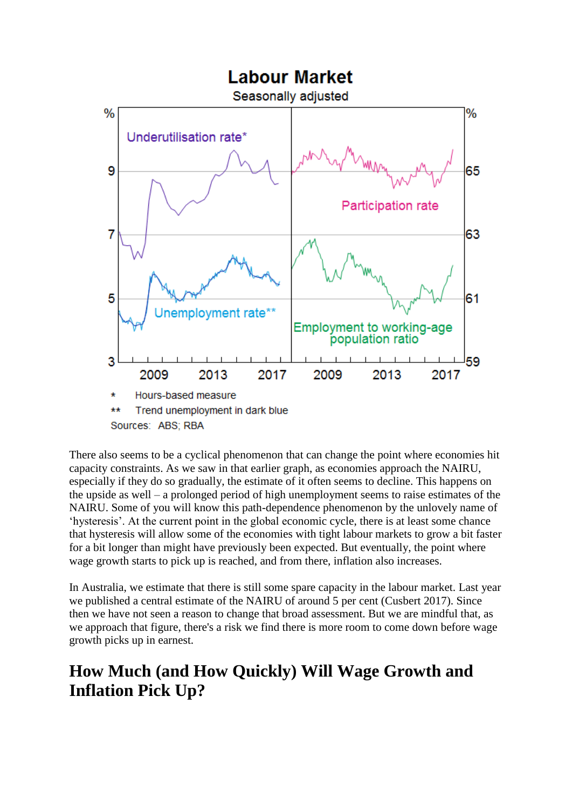

There also seems to be a cyclical phenomenon that can change the point where economies hit capacity constraints. As we saw in that earlier graph, as economies approach the NAIRU, especially if they do so gradually, the estimate of it often seems to decline. This happens on the upside as well – a prolonged period of high unemployment seems to raise estimates of the NAIRU. Some of you will know this path-dependence phenomenon by the unlovely name of 'hysteresis'. At the current point in the global economic cycle, there is at least some chance that hysteresis will allow some of the economies with tight labour markets to grow a bit faster for a bit longer than might have previously been expected. But eventually, the point where wage growth starts to pick up is reached, and from there, inflation also increases.

In Australia, we estimate that there is still some spare capacity in the labour market. Last year we published a central estimate of the NAIRU of around 5 per cent (Cusbert 2017). Since then we have not seen a reason to change that broad assessment. But we are mindful that, as we approach that figure, there's a risk we find there is more room to come down before wage growth picks up in earnest.

# **How Much (and How Quickly) Will Wage Growth and Inflation Pick Up?**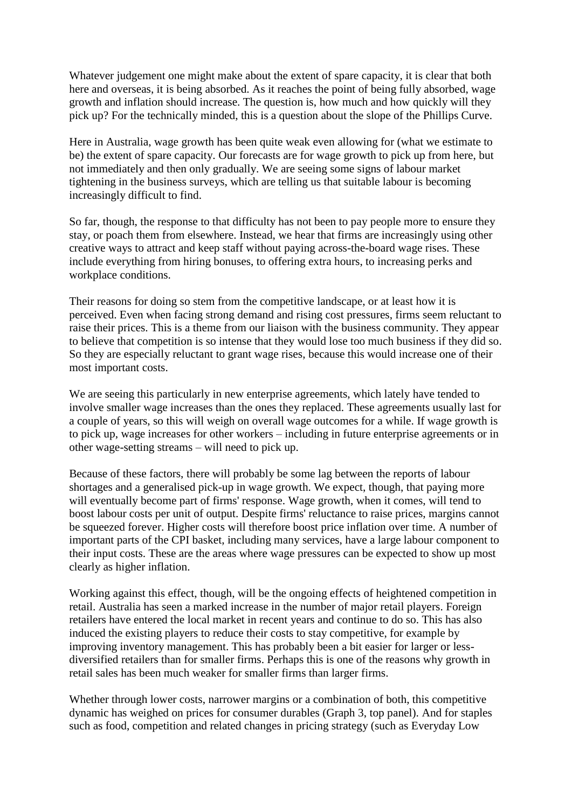Whatever judgement one might make about the extent of spare capacity, it is clear that both here and overseas, it is being absorbed. As it reaches the point of being fully absorbed, wage growth and inflation should increase. The question is, how much and how quickly will they pick up? For the technically minded, this is a question about the slope of the Phillips Curve.

Here in Australia, wage growth has been quite weak even allowing for (what we estimate to be) the extent of spare capacity. Our forecasts are for wage growth to pick up from here, but not immediately and then only gradually. We are seeing some signs of labour market tightening in the business surveys, which are telling us that suitable labour is becoming increasingly difficult to find.

So far, though, the response to that difficulty has not been to pay people more to ensure they stay, or poach them from elsewhere. Instead, we hear that firms are increasingly using other creative ways to attract and keep staff without paying across-the-board wage rises. These include everything from hiring bonuses, to offering extra hours, to increasing perks and workplace conditions.

Their reasons for doing so stem from the competitive landscape, or at least how it is perceived. Even when facing strong demand and rising cost pressures, firms seem reluctant to raise their prices. This is a theme from our liaison with the business community. They appear to believe that competition is so intense that they would lose too much business if they did so. So they are especially reluctant to grant wage rises, because this would increase one of their most important costs.

We are seeing this particularly in new enterprise agreements, which lately have tended to involve smaller wage increases than the ones they replaced. These agreements usually last for a couple of years, so this will weigh on overall wage outcomes for a while. If wage growth is to pick up, wage increases for other workers – including in future enterprise agreements or in other wage-setting streams – will need to pick up.

Because of these factors, there will probably be some lag between the reports of labour shortages and a generalised pick-up in wage growth. We expect, though, that paying more will eventually become part of firms' response. Wage growth, when it comes, will tend to boost labour costs per unit of output. Despite firms' reluctance to raise prices, margins cannot be squeezed forever. Higher costs will therefore boost price inflation over time. A number of important parts of the CPI basket, including many services, have a large labour component to their input costs. These are the areas where wage pressures can be expected to show up most clearly as higher inflation.

Working against this effect, though, will be the ongoing effects of heightened competition in retail. Australia has seen a marked increase in the number of major retail players. Foreign retailers have entered the local market in recent years and continue to do so. This has also induced the existing players to reduce their costs to stay competitive, for example by improving inventory management. This has probably been a bit easier for larger or lessdiversified retailers than for smaller firms. Perhaps this is one of the reasons why growth in retail sales has been much weaker for smaller firms than larger firms.

Whether through lower costs, narrower margins or a combination of both, this competitive dynamic has weighed on prices for consumer durables (Graph 3, top panel). And for staples such as food, competition and related changes in pricing strategy (such as Everyday Low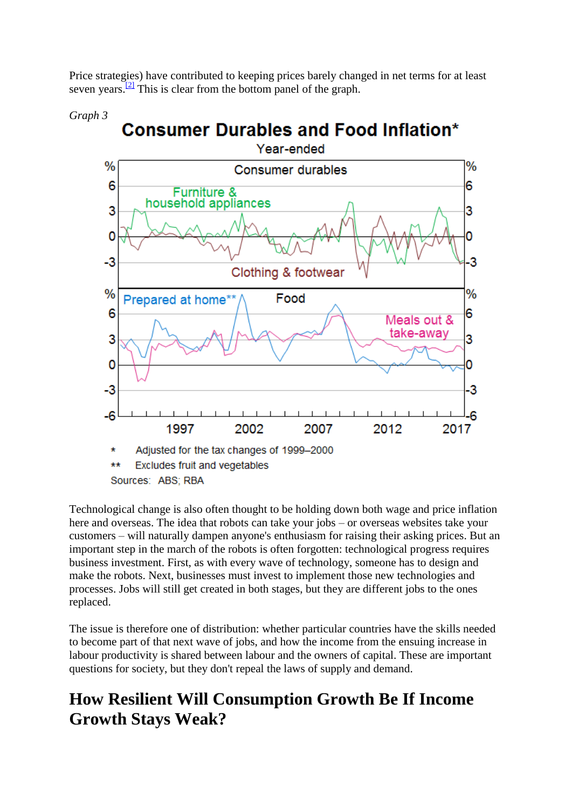Price strategies) have contributed to keeping prices barely changed in net terms for at least seven years. $\frac{[2]}{]}$  $\frac{[2]}{]}$  $\frac{[2]}{]}$  This is clear from the bottom panel of the graph.



Technological change is also often thought to be holding down both wage and price inflation here and overseas. The idea that robots can take your jobs – or overseas websites take your customers – will naturally dampen anyone's enthusiasm for raising their asking prices. But an important step in the march of the robots is often forgotten: technological progress requires business investment. First, as with every wave of technology, someone has to design and make the robots. Next, businesses must invest to implement those new technologies and processes. Jobs will still get created in both stages, but they are different jobs to the ones replaced.

The issue is therefore one of distribution: whether particular countries have the skills needed to become part of that next wave of jobs, and how the income from the ensuing increase in labour productivity is shared between labour and the owners of capital. These are important questions for society, but they don't repeal the laws of supply and demand.

## **How Resilient Will Consumption Growth Be If Income Growth Stays Weak?**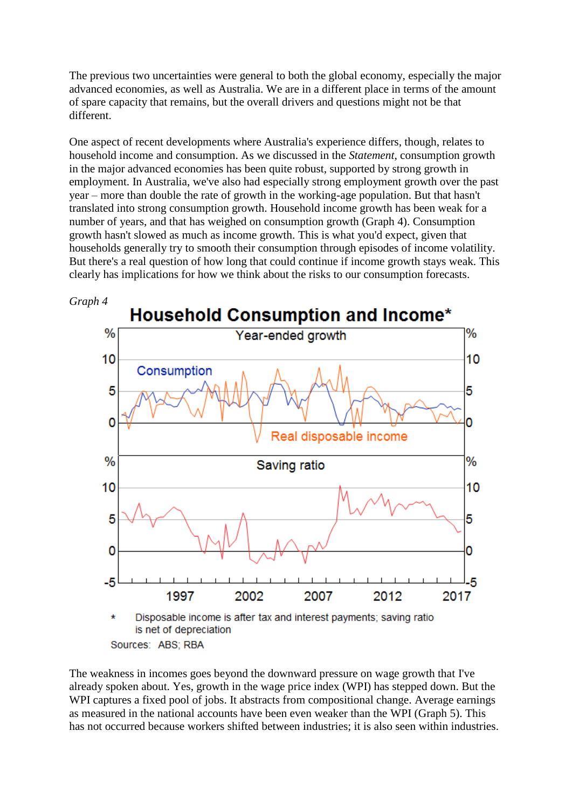The previous two uncertainties were general to both the global economy, especially the major advanced economies, as well as Australia. We are in a different place in terms of the amount of spare capacity that remains, but the overall drivers and questions might not be that different.

One aspect of recent developments where Australia's experience differs, though, relates to household income and consumption. As we discussed in the *Statement*, consumption growth in the major advanced economies has been quite robust, supported by strong growth in employment. In Australia, we've also had especially strong employment growth over the past year – more than double the rate of growth in the working-age population. But that hasn't translated into strong consumption growth. Household income growth has been weak for a number of years, and that has weighed on consumption growth (Graph 4). Consumption growth hasn't slowed as much as income growth. This is what you'd expect, given that households generally try to smooth their consumption through episodes of income volatility. But there's a real question of how long that could continue if income growth stays weak. This clearly has implications for how we think about the risks to our consumption forecasts.



Sources: ABS; RBA

The weakness in incomes goes beyond the downward pressure on wage growth that I've already spoken about. Yes, growth in the wage price index (WPI) has stepped down. But the WPI captures a fixed pool of jobs. It abstracts from compositional change. Average earnings as measured in the national accounts have been even weaker than the WPI (Graph 5). This has not occurred because workers shifted between industries; it is also seen within industries.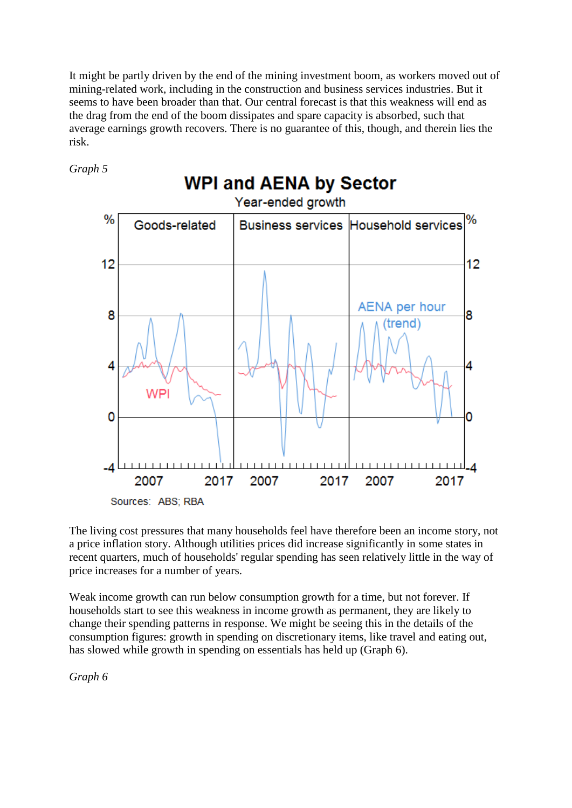It might be partly driven by the end of the mining investment boom, as workers moved out of mining-related work, including in the construction and business services industries. But it seems to have been broader than that. Our central forecast is that this weakness will end as the drag from the end of the boom dissipates and spare capacity is absorbed, such that average earnings growth recovers. There is no guarantee of this, though, and therein lies the risk.

*Graph 5*



The living cost pressures that many households feel have therefore been an income story, not a price inflation story. Although utilities prices did increase significantly in some states in recent quarters, much of households' regular spending has seen relatively little in the way of price increases for a number of years.

Weak income growth can run below consumption growth for a time, but not forever. If households start to see this weakness in income growth as permanent, they are likely to change their spending patterns in response. We might be seeing this in the details of the consumption figures: growth in spending on discretionary items, like travel and eating out, has slowed while growth in spending on essentials has held up (Graph 6).

*Graph 6*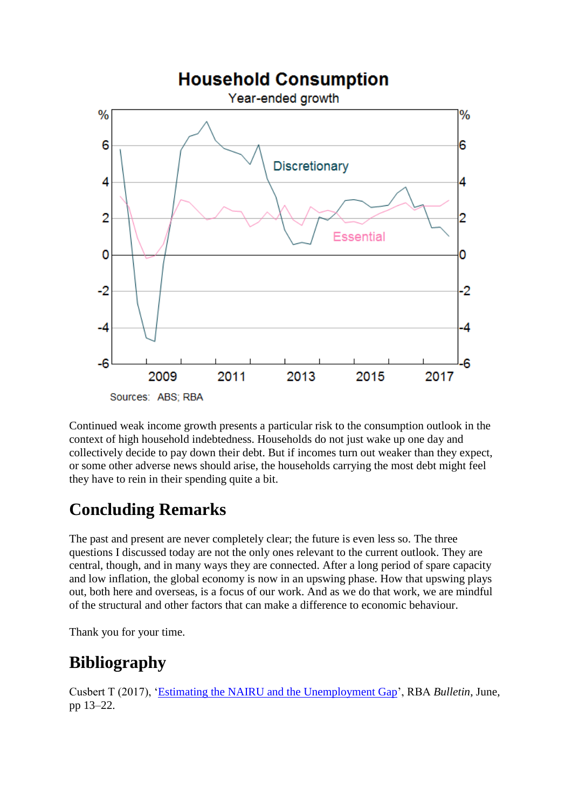

Continued weak income growth presents a particular risk to the consumption outlook in the context of high household indebtedness. Households do not just wake up one day and collectively decide to pay down their debt. But if incomes turn out weaker than they expect, or some other adverse news should arise, the households carrying the most debt might feel they have to rein in their spending quite a bit.

# **Concluding Remarks**

The past and present are never completely clear; the future is even less so. The three questions I discussed today are not the only ones relevant to the current outlook. They are central, though, and in many ways they are connected. After a long period of spare capacity and low inflation, the global economy is now in an upswing phase. How that upswing plays out, both here and overseas, is a focus of our work. And as we do that work, we are mindful of the structural and other factors that can make a difference to economic behaviour.

Thank you for your time.

## **Bibliography**

Cusbert T (2017), ['Estimating the NAIRU and the Unemployment Gap'](https://www.rba.gov.au/publications/bulletin/2017/jun/2.html), RBA *Bulletin*, June, pp 13–22.